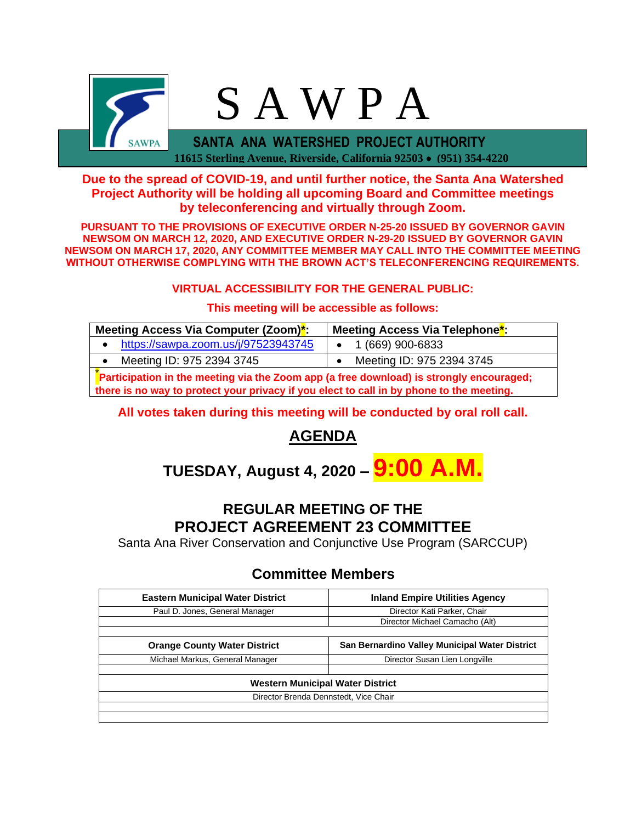

### **Due to the spread of COVID-19, and until further notice, the Santa Ana Watershed Project Authority will be holding all upcoming Board and Committee meetings by teleconferencing and virtually through Zoom.**

**PURSUANT TO THE PROVISIONS OF EXECUTIVE ORDER N-25-20 ISSUED BY GOVERNOR GAVIN NEWSOM ON MARCH 12, 2020, AND EXECUTIVE ORDER N-29-20 ISSUED BY GOVERNOR GAVIN NEWSOM ON MARCH 17, 2020, ANY COMMITTEE MEMBER MAY CALL INTO THE COMMITTEE MEETING WITHOUT OTHERWISE COMPLYING WITH THE BROWN ACT'S TELECONFERENCING REQUIREMENTS.**

#### **VIRTUAL ACCESSIBILITY FOR THE GENERAL PUBLIC:**

#### **This meeting will be accessible as follows:**

| Meeting Access Via Computer (Zoom) <sup>*</sup> :                                       | Meeting Access Via Telephone <sup>*</sup> : |  |  |  |
|-----------------------------------------------------------------------------------------|---------------------------------------------|--|--|--|
| https://sawpa.zoom.us/j/97523943745                                                     | $\bullet$ 1 (669) 900-6833                  |  |  |  |
| Meeting ID: 975 2394 3745                                                               | Meeting ID: 975 2394 3745                   |  |  |  |
| Participation in the meeting via the Zoom app (a free download) is strongly encouraged; |                                             |  |  |  |

**there is no way to protect your privacy if you elect to call in by phone to the meeting.**

#### **All votes taken during this meeting will be conducted by oral roll call.**

# **AGENDA**

# **TUESDAY, August 4, 2020 – 9:00 A.M.**

# **REGULAR MEETING OF THE PROJECT AGREEMENT 23 COMMITTEE**

Santa Ana River Conservation and Conjunctive Use Program (SARCCUP)

## **Committee Members**

| <b>Eastern Municipal Water District</b> | <b>Inland Empire Utilities Agency</b>          |  |  |  |
|-----------------------------------------|------------------------------------------------|--|--|--|
| Paul D. Jones, General Manager          | Director Kati Parker, Chair                    |  |  |  |
|                                         | Director Michael Camacho (Alt)                 |  |  |  |
|                                         |                                                |  |  |  |
| <b>Orange County Water District</b>     | San Bernardino Valley Municipal Water District |  |  |  |
| Michael Markus, General Manager         | Director Susan Lien Longville                  |  |  |  |
|                                         |                                                |  |  |  |
| Western Municipal Water District        |                                                |  |  |  |
| Director Brenda Dennstedt, Vice Chair   |                                                |  |  |  |
|                                         |                                                |  |  |  |
|                                         |                                                |  |  |  |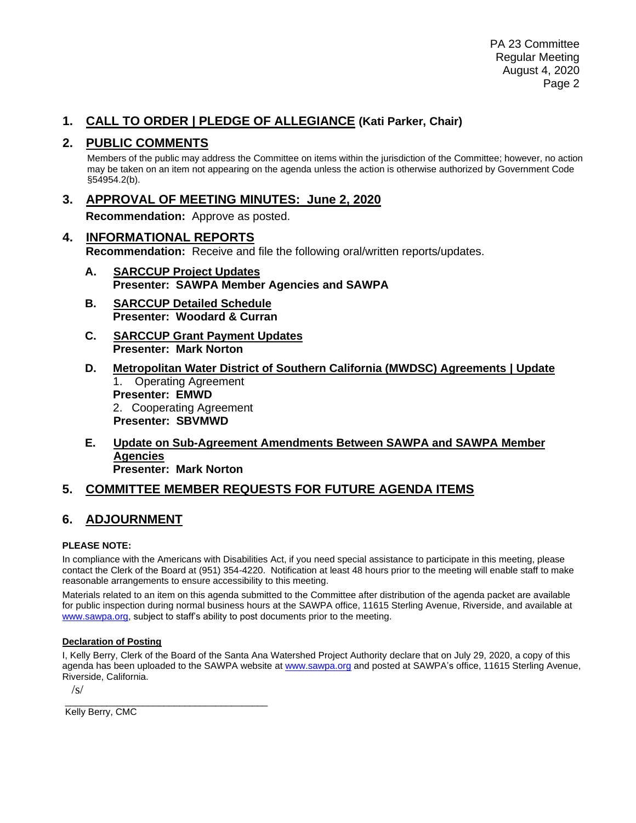### **1. CALL TO ORDER | PLEDGE OF ALLEGIANCE (Kati Parker, Chair)**

#### **2. PUBLIC COMMENTS**

Members of the public may address the Committee on items within the jurisdiction of the Committee; however, no action may be taken on an item not appearing on the agenda unless the action is otherwise authorized by Government Code §54954.2(b).

**3. APPROVAL OF MEETING MINUTES: June 2, 2020**

**Recommendation:** Approve as posted.

- **4. INFORMATIONAL REPORTS Recommendation:** Receive and file the following oral/written reports/updates.
	- **A. SARCCUP Project Updates Presenter: SAWPA Member Agencies and SAWPA**
	- **B. SARCCUP Detailed Schedule Presenter: Woodard & Curran**
	- **C. SARCCUP Grant Payment Updates Presenter: Mark Norton**
	- **D. Metropolitan Water District of Southern California (MWDSC) Agreements | Update** 1. Operating Agreement **Presenter: EMWD** 2. Cooperating Agreement **Presenter: SBVMWD**
	- **E. Update on Sub-Agreement Amendments Between SAWPA and SAWPA Member Agencies Presenter: Mark Norton**

## **5. COMMITTEE MEMBER REQUESTS FOR FUTURE AGENDA ITEMS**

## **6. ADJOURNMENT**

#### **PLEASE NOTE:**

In compliance with the Americans with Disabilities Act, if you need special assistance to participate in this meeting, please contact the Clerk of the Board at (951) 354-4220. Notification at least 48 hours prior to the meeting will enable staff to make reasonable arrangements to ensure accessibility to this meeting.

Materials related to an item on this agenda submitted to the Committee after distribution of the agenda packet are available for public inspection during normal business hours at the SAWPA office, 11615 Sterling Avenue, Riverside, and available at [www.sawpa.org,](http://www.sawpa.org/) subject to staff's ability to post documents prior to the meeting.

#### **Declaration of Posting**

I, Kelly Berry, Clerk of the Board of the Santa Ana Watershed Project Authority declare that on July 29, 2020, a copy of this agenda has been uploaded to the SAWPA website a[t www.sawpa.org](http://www.sawpa.org/) and posted at SAWPA's office, 11615 Sterling Avenue, Riverside, California.

 $\sqrt{s}$ 

\_\_\_\_\_\_\_\_\_\_\_\_\_\_\_\_\_\_\_\_\_\_\_\_\_\_\_\_\_\_\_\_\_\_\_\_\_\_\_ Kelly Berry, CMC